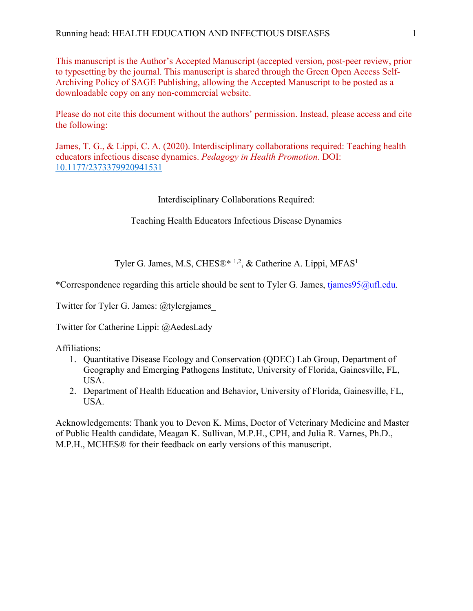This manuscript is the Author's Accepted Manuscript (accepted version, post-peer review, prior to typesetting by the journal. This manuscript is shared through the Green Open Access Self-Archiving Policy of SAGE Publishing, allowing the Accepted Manuscript to be posted as a downloadable copy on any non-commercial website.

Please do not cite this document without the authors' permission. Instead, please access and cite the following:

James, T. G., & Lippi, C. A. (2020). Interdisciplinary collaborations required: Teaching health educators infectious disease dynamics. *Pedagogy in Health Promotion*. DOI: 10.1177/2373379920941531

## Interdisciplinary Collaborations Required:

Teaching Health Educators Infectious Disease Dynamics

Tyler G. James, M.S, CHES®\* <sup>1,2</sup>, & Catherine A. Lippi, MFAS<sup>1</sup>

\*Correspondence regarding this article should be sent to Tyler G. James, tjames95@ufl.edu.

Twitter for Tyler G. James: @tylergjames\_

Twitter for Catherine Lippi: @AedesLady

Affiliations:

- 1. Quantitative Disease Ecology and Conservation (QDEC) Lab Group, Department of Geography and Emerging Pathogens Institute, University of Florida, Gainesville, FL, USA.
- 2. Department of Health Education and Behavior, University of Florida, Gainesville, FL, USA.

Acknowledgements: Thank you to Devon K. Mims, Doctor of Veterinary Medicine and Master of Public Health candidate, Meagan K. Sullivan, M.P.H., CPH, and Julia R. Varnes, Ph.D., M.P.H., MCHES® for their feedback on early versions of this manuscript.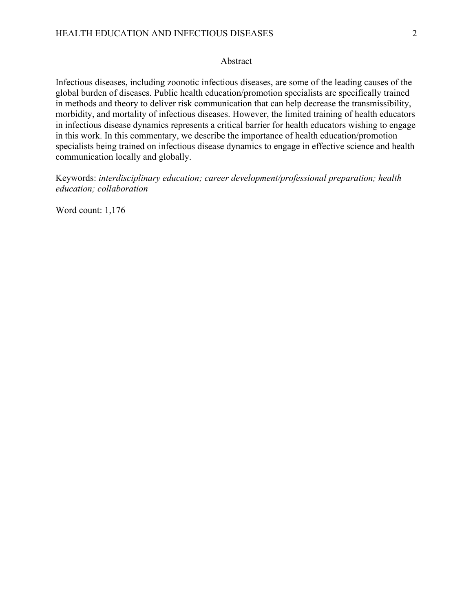## Abstract

Infectious diseases, including zoonotic infectious diseases, are some of the leading causes of the global burden of diseases. Public health education/promotion specialists are specifically trained in methods and theory to deliver risk communication that can help decrease the transmissibility, morbidity, and mortality of infectious diseases. However, the limited training of health educators in infectious disease dynamics represents a critical barrier for health educators wishing to engage in this work. In this commentary, we describe the importance of health education/promotion specialists being trained on infectious disease dynamics to engage in effective science and health communication locally and globally.

Keywords: *interdisciplinary education; career development/professional preparation; health education; collaboration*

Word count: 1,176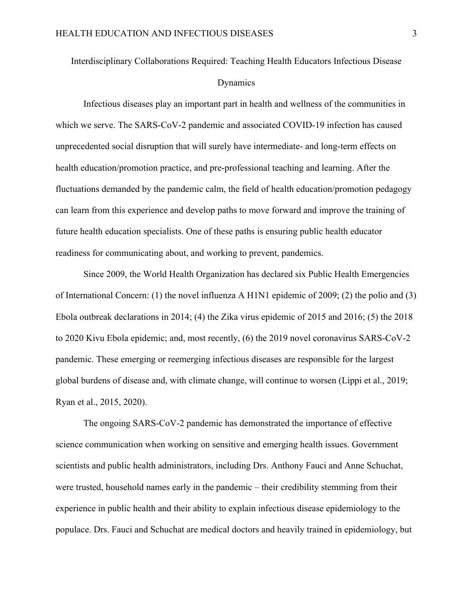## Interdisciplinary Collaborations Required: Teaching Health Educators Infectious Disease Dynamics

Infectious diseases play an important part in health and wellness of the communities in which we serve. The SARS-CoV-2 pandemic and associated COVID-19 infection has caused unprecedented social disruption that will surely have intermediate- and long-term effects on health education/promotion practice, and pre-professional teaching and learning. After the fluctuations demanded by the pandemic calm, the field of health education/promotion pedagogy can learn from this experience and develop paths to move forward and improve the training of future health education specialists. One of these paths is ensuring public health educator readiness for communicating about, and working to prevent, pandemics.

Since 2009, the World Health Organization has declared six Public Health Emergencies of International Concern: (1) the novel influenza A H1N1 epidemic of 2009; (2) the polio and (3) Ebola outbreak declarations in 2014; (4) the Zika virus epidemic of 2015 and 2016; (5) the 2018 to 2020 Kivu Ebola epidemic; and, most recently, (6) the 2019 novel coronavirus SARS-CoV-2 pandemic. These emerging or reemerging infectious diseases are responsible for the largest global burdens of disease and, with climate change, will continue to worsen (Lippi et al., 2019; Ryan et al., 2015, 2020).

The ongoing SARS-CoV-2 pandemic has demonstrated the importance of effective science communication when working on sensitive and emerging health issues. Government scientists and public health administrators, including Drs. Anthony Fauci and Anne Schuchat, were trusted, household names early in the pandemic – their credibility stemming from their experience in public health and their ability to explain infectious disease epidemiology to the populace. Drs. Fauci and Schuchat are medical doctors and heavily trained in epidemiology, but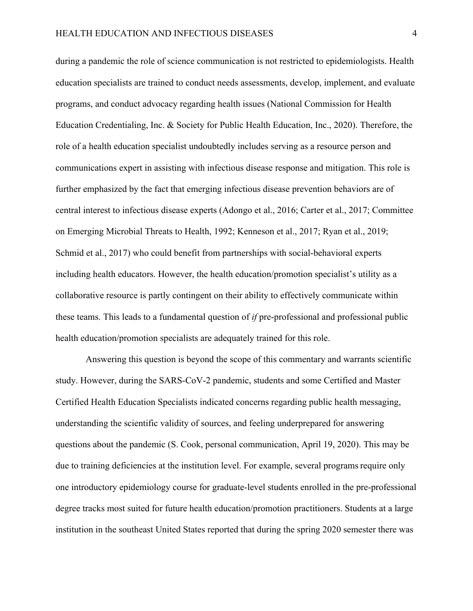during a pandemic the role of science communication is not restricted to epidemiologists. Health education specialists are trained to conduct needs assessments, develop, implement, and evaluate programs, and conduct advocacy regarding health issues (National Commission for Health Education Credentialing, Inc. & Society for Public Health Education, Inc., 2020). Therefore, the role of a health education specialist undoubtedly includes serving as a resource person and communications expert in assisting with infectious disease response and mitigation. This role is further emphasized by the fact that emerging infectious disease prevention behaviors are of central interest to infectious disease experts (Adongo et al., 2016; Carter et al., 2017; Committee on Emerging Microbial Threats to Health, 1992; Kenneson et al., 2017; Ryan et al., 2019; Schmid et al., 2017) who could benefit from partnerships with social-behavioral experts including health educators. However, the health education/promotion specialist's utility as a collaborative resource is partly contingent on their ability to effectively communicate within these teams. This leads to a fundamental question of *if* pre-professional and professional public health education/promotion specialists are adequately trained for this role.

Answering this question is beyond the scope of this commentary and warrants scientific study. However, during the SARS-CoV-2 pandemic, students and some Certified and Master Certified Health Education Specialists indicated concerns regarding public health messaging, understanding the scientific validity of sources, and feeling underprepared for answering questions about the pandemic (S. Cook, personal communication, April 19, 2020). This may be due to training deficiencies at the institution level. For example, several programs require only one introductory epidemiology course for graduate-level students enrolled in the pre-professional degree tracks most suited for future health education/promotion practitioners. Students at a large institution in the southeast United States reported that during the spring 2020 semester there was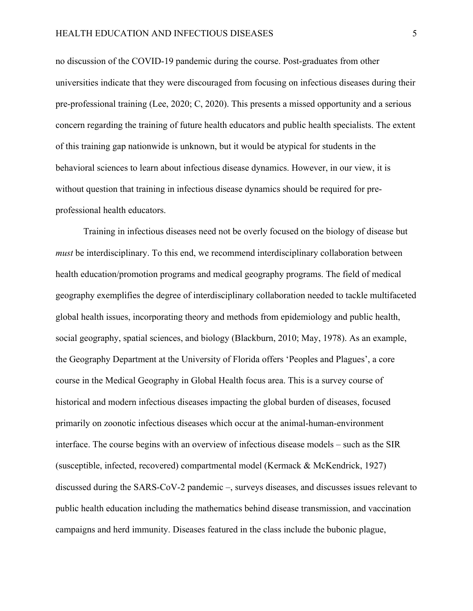no discussion of the COVID-19 pandemic during the course. Post-graduates from other universities indicate that they were discouraged from focusing on infectious diseases during their pre-professional training (Lee, 2020; C, 2020). This presents a missed opportunity and a serious concern regarding the training of future health educators and public health specialists. The extent of this training gap nationwide is unknown, but it would be atypical for students in the behavioral sciences to learn about infectious disease dynamics. However, in our view, it is without question that training in infectious disease dynamics should be required for preprofessional health educators.

Training in infectious diseases need not be overly focused on the biology of disease but *must* be interdisciplinary. To this end, we recommend interdisciplinary collaboration between health education/promotion programs and medical geography programs. The field of medical geography exemplifies the degree of interdisciplinary collaboration needed to tackle multifaceted global health issues, incorporating theory and methods from epidemiology and public health, social geography, spatial sciences, and biology (Blackburn, 2010; May, 1978). As an example, the Geography Department at the University of Florida offers 'Peoples and Plagues', a core course in the Medical Geography in Global Health focus area. This is a survey course of historical and modern infectious diseases impacting the global burden of diseases, focused primarily on zoonotic infectious diseases which occur at the animal-human-environment interface. The course begins with an overview of infectious disease models – such as the SIR (susceptible, infected, recovered) compartmental model (Kermack & McKendrick, 1927) discussed during the SARS-CoV-2 pandemic –, surveys diseases, and discusses issues relevant to public health education including the mathematics behind disease transmission, and vaccination campaigns and herd immunity. Diseases featured in the class include the bubonic plague,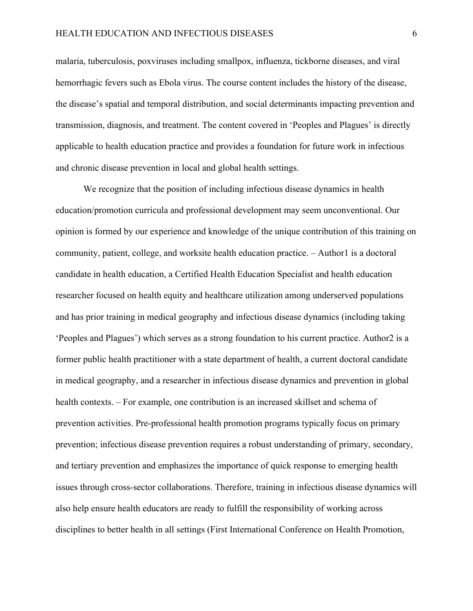malaria, tuberculosis, poxviruses including smallpox, influenza, tickborne diseases, and viral hemorrhagic fevers such as Ebola virus. The course content includes the history of the disease, the disease's spatial and temporal distribution, and social determinants impacting prevention and transmission, diagnosis, and treatment. The content covered in 'Peoples and Plagues' is directly applicable to health education practice and provides a foundation for future work in infectious and chronic disease prevention in local and global health settings.

We recognize that the position of including infectious disease dynamics in health education/promotion curricula and professional development may seem unconventional. Our opinion is formed by our experience and knowledge of the unique contribution of this training on community, patient, college, and worksite health education practice. – Author1 is a doctoral candidate in health education, a Certified Health Education Specialist and health education researcher focused on health equity and healthcare utilization among underserved populations and has prior training in medical geography and infectious disease dynamics (including taking 'Peoples and Plagues') which serves as a strong foundation to his current practice. Author2 is a former public health practitioner with a state department of health, a current doctoral candidate in medical geography, and a researcher in infectious disease dynamics and prevention in global health contexts. – For example, one contribution is an increased skillset and schema of prevention activities. Pre-professional health promotion programs typically focus on primary prevention; infectious disease prevention requires a robust understanding of primary, secondary, and tertiary prevention and emphasizes the importance of quick response to emerging health issues through cross-sector collaborations. Therefore, training in infectious disease dynamics will also help ensure health educators are ready to fulfill the responsibility of working across disciplines to better health in all settings (First International Conference on Health Promotion,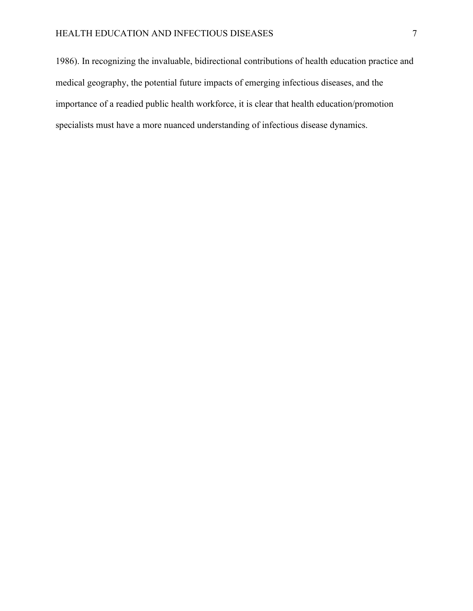1986). In recognizing the invaluable, bidirectional contributions of health education practice and medical geography, the potential future impacts of emerging infectious diseases, and the importance of a readied public health workforce, it is clear that health education/promotion specialists must have a more nuanced understanding of infectious disease dynamics.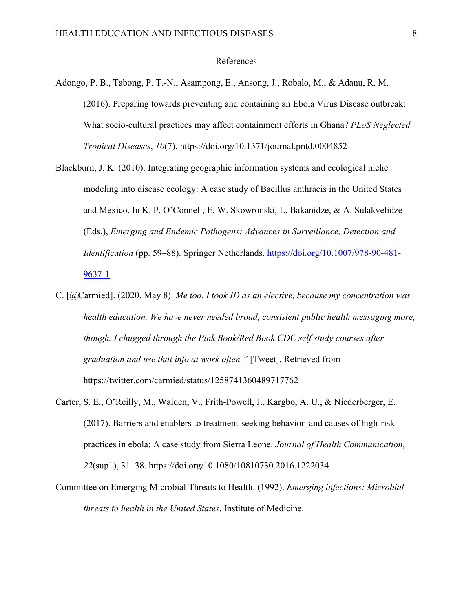## References

- Adongo, P. B., Tabong, P. T.-N., Asampong, E., Ansong, J., Robalo, M., & Adanu, R. M. (2016). Preparing towards preventing and containing an Ebola Virus Disease outbreak: What socio-cultural practices may affect containment efforts in Ghana? *PLoS Neglected Tropical Diseases*, *10*(7). https://doi.org/10.1371/journal.pntd.0004852
- Blackburn, J. K. (2010). Integrating geographic information systems and ecological niche modeling into disease ecology: A case study of Bacillus anthracis in the United States and Mexico. In K. P. O'Connell, E. W. Skowronski, L. Bakanidze, & A. Sulakvelidze (Eds.), *Emerging and Endemic Pathogens: Advances in Surveillance, Detection and Identification* (pp. 59–88). Springer Netherlands. https://doi.org/10.1007/978-90-481-9637-1
- C. [@Carmied]. (2020, May 8). *Me too. I took ID as an elective, because my concentration was health education. We have never needed broad, consistent public health messaging more, though. I chugged through the Pink Book/Red Book CDC self study courses after graduation and use that info at work often."* [Tweet]. Retrieved from https://twitter.com/carmied/status/1258741360489717762
- Carter, S. E., O'Reilly, M., Walden, V., Frith-Powell, J., Kargbo, A. U., & Niederberger, E. (2017). Barriers and enablers to treatment-seeking behavior and causes of high-risk practices in ebola: A case study from Sierra Leone. *Journal of Health Communication*, *22*(sup1), 31–38. https://doi.org/10.1080/10810730.2016.1222034
- Committee on Emerging Microbial Threats to Health. (1992). *Emerging infections: Microbial threats to health in the United States*. Institute of Medicine.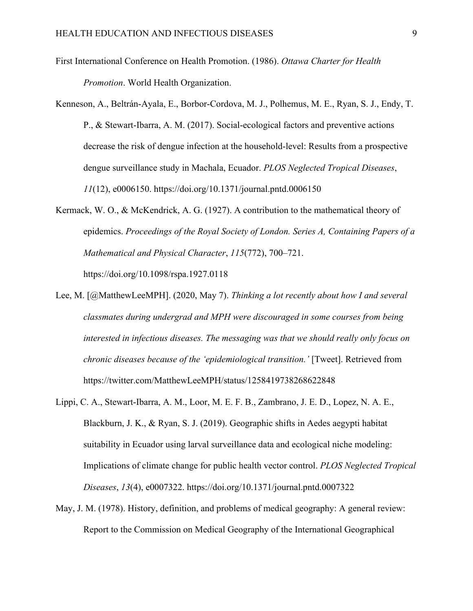- First International Conference on Health Promotion. (1986). *Ottawa Charter for Health Promotion*. World Health Organization.
- Kenneson, A., Beltrán-Ayala, E., Borbor-Cordova, M. J., Polhemus, M. E., Ryan, S. J., Endy, T. P., & Stewart-Ibarra, A. M. (2017). Social-ecological factors and preventive actions decrease the risk of dengue infection at the household-level: Results from a prospective dengue surveillance study in Machala, Ecuador. *PLOS Neglected Tropical Diseases*, *11*(12), e0006150. https://doi.org/10.1371/journal.pntd.0006150
- Kermack, W. O., & McKendrick, A. G. (1927). A contribution to the mathematical theory of epidemics. *Proceedings of the Royal Society of London. Series A, Containing Papers of a Mathematical and Physical Character*, *115*(772), 700–721. https://doi.org/10.1098/rspa.1927.0118
- Lee, M. [@MatthewLeeMPH]. (2020, May 7). *Thinking a lot recently about how I and several classmates during undergrad and MPH were discouraged in some courses from being interested in infectious diseases. The messaging was that we should really only focus on chronic diseases because of the 'epidemiological transition.'* [Tweet]. Retrieved from https://twitter.com/MatthewLeeMPH/status/1258419738268622848
- Lippi, C. A., Stewart-Ibarra, A. M., Loor, M. E. F. B., Zambrano, J. E. D., Lopez, N. A. E., Blackburn, J. K., & Ryan, S. J. (2019). Geographic shifts in Aedes aegypti habitat suitability in Ecuador using larval surveillance data and ecological niche modeling: Implications of climate change for public health vector control. *PLOS Neglected Tropical Diseases*, *13*(4), e0007322. https://doi.org/10.1371/journal.pntd.0007322
- May, J. M. (1978). History, definition, and problems of medical geography: A general review: Report to the Commission on Medical Geography of the International Geographical